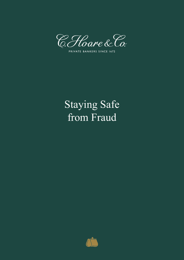

PRIVATE BANKERS SINCE 1672

# Staying Safe from Fraud

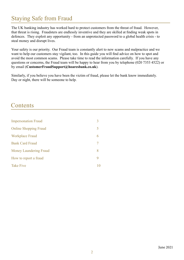# Staying Safe from Fraud

The UK banking industry has worked hard to protect customers from the threat of fraud. However, that threat is rising. Fraudsters are endlessly inventive and they are skilled at finding weak spots in defences. They exploit any opportunity - from an unprotected password to a global health crisis - to steal money and disrupt lives.

Your safety is our priority. Our Fraud team is constantly alert to new scams and malpractice and we want to help our customers stay vigilant, too. In this guide you will find advice on how to spot and avoid the most common scams. Please take time to read the information carefully. If you have any questions or concerns, the Fraud team will be happy to hear from you by telephone (020 7353 4522) or by email (**CustomerFraudSupport@hoaresbank.co.uk**).

Similarly, if you believe you have been the victim of fraud, please let the bank know immediately. Day or night, there will be someone to help.

#### **Contents**

| <b>Impersonation Fraud</b>    | 3  |
|-------------------------------|----|
| <b>Online Shopping Fraud</b>  | 5  |
| <b>Workplace Fraud</b>        | 6  |
| <b>Bank Card Fraud</b>        |    |
| <b>Money Laundering Fraud</b> | 8  |
| How to report a fraud         |    |
| <b>Take Five</b>              | 10 |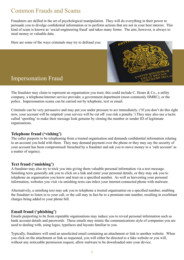# <span id="page-2-0"></span>Common Frauds and Scams

Fraudsters are skilled in the art of psychological manipulation. They will do everything in their power to persuade you to divulge confidential information or to perform actions that are not in your best interest. This kind of scam is known as 'social-engineering fraud' and takes many forms. The aim, however, is always to steal money or valuable data.

Here are some of the ways criminals may try to defraud you:



#### Impersonation Fraud

The fraudster may claim to represent an organisation you trust; this could include C. Hoare & Co., a utility company, a telephone/internet service provider, a government department (most commonly HMRC), or the police. Impersonation scams can be carried out by telephone, text or email.

Criminals can be very persuasive and may put you under pressure to act immediately. ('If you don't do this right now, your account will be emptied/ your service will be cut off/ you risk a penalty.') They may also use a tactic called 'spoofing' to make their message look genuine by cloning the number or sender ID of legitimate organisations.

#### **Telephone fraud ('vishing')**

The caller purports to be telephoning from a trusted organisation and demands confidential information relating to an account you hold with them. They may demand payment over the phone or they may say the security of your account has been compromised/ breached by a fraudster and ask you to move money to a 'safe account' as a matter of urgency.

#### **Text fraud ('smishing')**

A fraudster may also try to trick you into giving them valuable personal information via a text message. Smishing texts generally ask you to click on a link and enter your personal details, or they may ask you to telephone an organisation you know and trust on a specified number. As well as harvesting your personal information, websites you visit via smishing texts can infect your internet-connected phone with malware.

Alternatively, a smishing text may ask you to telephone a trusted organisation on a specified number, enabling the fraudster to listen in to your call, or the call may in fact be to a premium-rate number, resulting in exorbitant charges being added to your phone bill.

#### **Email fraud ('phishing')**

Emails purporting to be from reputable organisations may induce you to reveal personal information such as bank account details and passwords. These emails may mimic the communications style of companies you are used to dealing with, using logos, typefaces and layouts familiar to you.

Typically, fraudsters will send an unsolicited email containing an attachment or link to another website. When you click on the attachment or link as requested, you will either be directed to a fake website or you will, without any noticeable permission request, allow malware to be downloaded onto your device.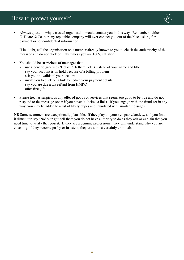

• Always question why a trusted organisation would contact you in this way. Remember neither C. Hoare & Co. nor any reputable company will ever contact you out of the blue, asking for payment or for confidential information.

If in doubt, call the organisation on a number already known to you to check the authenticity of the message and do not click on links unless you are 100% satisfied.

- You should be suspicious of messages that:
	- use a generic greeting ('Hello', 'Hi there,' etc.) instead of your name and title
	- say your account is on hold because of a billing problem
	- ask you to 'validate' your account
	- invite you to click on a link to update your payment details
	- say you are due a tax refund from HMRC
	- offer free gifts
- Please treat as suspicious any offer of goods or services that seems too good to be true and do not respond to the message (even if you haven't clicked a link). If you engage with the fraudster in any way, you may be added to a list of likely dupes and inundated with similar messages.

**NB** Some scammers are exceptionally plausible. If they play on your sympathy/anxiety, and you find it difficult to say 'No' outright, tell them you do not have authority to do as they ask or explain that you need time to verify the request. If they are a genuine professional, they will understand why you are checking; if they become pushy or insistent, they are almost certainly criminals.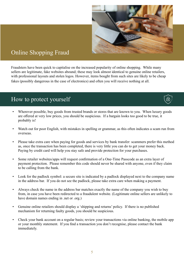

# <span id="page-4-0"></span>Online Shopping Fraud

Fraudsters have been quick to capitalise on the increased popularity of online shopping. While many sellers are legitimate, fake websites abound; these may look almost identical to genuine online retailers, with professional layouts and stolen logos. However, items bought from such sites are likely to be cheap fakes (possibly dangerous in the case of electronics) and often you will receive nothing at all.

- Wherever possible, buy goods from trusted brands or stores that are known to you. When luxury goods are offered at very low prices, you should be suspicious. If a bargain looks too good to be true, it probably is!
- Watch out for poor English, with mistakes in spelling or grammar, as this often indicates a scam run from overseas.
- Please take extra care when paying for goods and services by bank transfer: scammers prefer this method as, once the transaction has been completed, there is very little you can do to get your money back. Paying by credit card will help you stay safe and provide protection for your purchases.
- Some retailer websites/apps will request confirmation of a One-Time Passcode as an extra layer of payment protection. Please remember this code should never be shared with anyone, even if they claim to be calling from the bank.
- Look for the padlock symbol: a secure site is indicated by a padlock displayed next to the company name in the address bar. If you do not see the padlock, please take extra care when making a payment.
- Always check the name in the address bar matches exactly the name of the company you wish to buy from, in case you have been redirected to a fraudulent website. (Legitimate online sellers are unlikely to have domain names ending in .net or .org.)
- Genuine online retailers should display a 'shipping and returns' policy. If there is no published mechanism for returning faulty goods, you should be suspicious.
- Check your bank account on a regular basis; review your transactions via online banking, the mobile app or your monthly statement. If you find a transaction you don't recognise, please contact the bank immediately.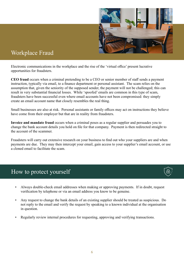

# <span id="page-5-0"></span>Workplace Fraud

Electronic communications in the workplace and the rise of the 'virtual office' present lucrative opportunities for fraudsters.

**CEO fraud** occurs when a criminal pretending to be a CEO or senior member of staff sends a payment instruction, typically via email, to a finance department or personal assistant. The scam relies on the assumption that, given the seniority of the supposed sender, the payment will not be challenged; this can result in very substantial financial losses. While 'spoofed' emails are common in this type of scam, fraudsters have been successful even where email accounts have not been compromised: they simply create an email account name that closely resembles the real thing.

Small businesses are also at risk. Personal assistants or family offices may act on instructions they believe have come from their employer but that are in reality from fraudsters.

**Invoice and mandate fraud** occurs when a criminal poses as a regular supplier and persuades you to change the bank account details you hold on file for that company. Payment is then redirected straight to the account of the scammer.

Fraudsters will carry out extensive research on your business to find out who your suppliers are and when payments are due. They may then intercept your email, gain access to your supplier's email account, or use a cloned email to facilitate the scam.



- Always double-check email addresses when making or approving payments. If in doubt, request verification by telephone or via an email address you know to be genuine.
- Any request to change the bank details of an existing supplier should be treated as suspicious. Do not reply to the email and verify the request by speaking to a known individual at the organisation in question.
- Regularly review internal procedures for requesting, approving and verifying transactions.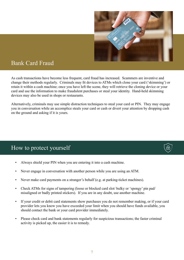

#### <span id="page-6-0"></span>Bank Card Fraud

As cash transactions have become less frequent, card fraud has increased. Scammers are inventive and change their methods regularly. Criminals may fit devices to ATMs which clone your card ('skimming') or retain it within a cash machine; once you have left the scene, they will retrieve the cloning device or your card and use the information to make fraudulent purchases or steal your identity. Hand-held skimming devices may also be used in shops or restaurants.

Alternatively, criminals may use simple distraction techniques to steal your card or PIN. They may engage you in conversation while an accomplice steals your card or cash or divert your attention by dropping cash on the ground and asking if it is yours.

- Always shield your PIN when you are entering it into a cash machine.
- Never engage in conversation with another person while you are using an ATM.
- Never make card payments on a stranger's behalf (e.g. at parking-ticket machines).
- Check ATMs for signs of tampering (loose or blocked card slot/ bulky or 'spongy' pin pad/ misaligned or badly printed stickers). If you are in any doubt, use another machine.
- If your credit or debit card statements show purchases you do not remember making, or if your card provider lets you know you have exceeded your limit when you should have funds available, you should contact the bank or your card provider immediately.
- Please check card and bank statements regularly for suspicious transactions; the faster criminal activity is picked up, the easier it is to remedy.

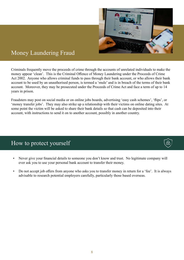

## <span id="page-7-0"></span>Money Laundering Fraud

Criminals frequently move the proceeds of crime through the accounts of unrelated individuals to make the money appear 'clean'. This is the Criminal Offence of Money Laundering under the Proceeds of Crime Act 2002. Anyone who allows criminal funds to pass through their bank account, or who allows their bank account to be used by an unauthorised person, is termed a 'mule' and is in breach of the terms of their bank account. Moreover, they may be prosecuted under the Proceeds of Crime Act and face a term of up to 14 years in prison.

Fraudsters may post on social media or on online jobs boards, advertising 'easy cash schemes', 'flips', or 'money transfer jobs'. They may also strike up a relationship with their victims on online dating sites. At some point the victim will be asked to share their bank details so that cash can be deposited into their account, with instructions to send it on to another account, possibly in another country.

- Never give your financial details to someone you don't know and trust. No legitimate company will ever ask you to use your personal bank account to transfer their money.
- Do not accept job offers from anyone who asks you to transfer money in return for a 'fee'. It is always advisable to research potential employers carefully, particularly those based overseas.



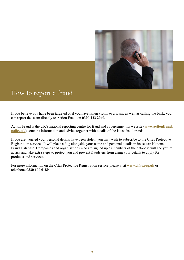

# <span id="page-8-0"></span>How to report a fraud

If you believe you have been targeted or if you have fallen victim to a scam, as well as calling the bank, you can report the scam directly to Action Fraud on **0300 123 2040.**

Action Fraud is the UK's national reporting centre for fraud and cybercrime. Its website (**[www.actionfraud.](https://www.actionfraud.police.uk) [police.uk](https://www.actionfraud.police.uk)**) contains information and advice together with details of the latest fraud trends.

If you are worried your personal details have been stolen, you may wish to subscribe to the Cifas Protective Registration service. It will place a flag alongside your name and personal details in its secure National Fraud Database. Companies and organisations who are signed up as members of the database will see you're at risk and take extra steps to protect you and prevent fraudsters from using your details to apply for products and services.

For more information on the Cifas Protective Registration service please visit **[www.cifas.org.uk](http://www.cifas.org.uk/)** or telephone **0330 100 0180**.